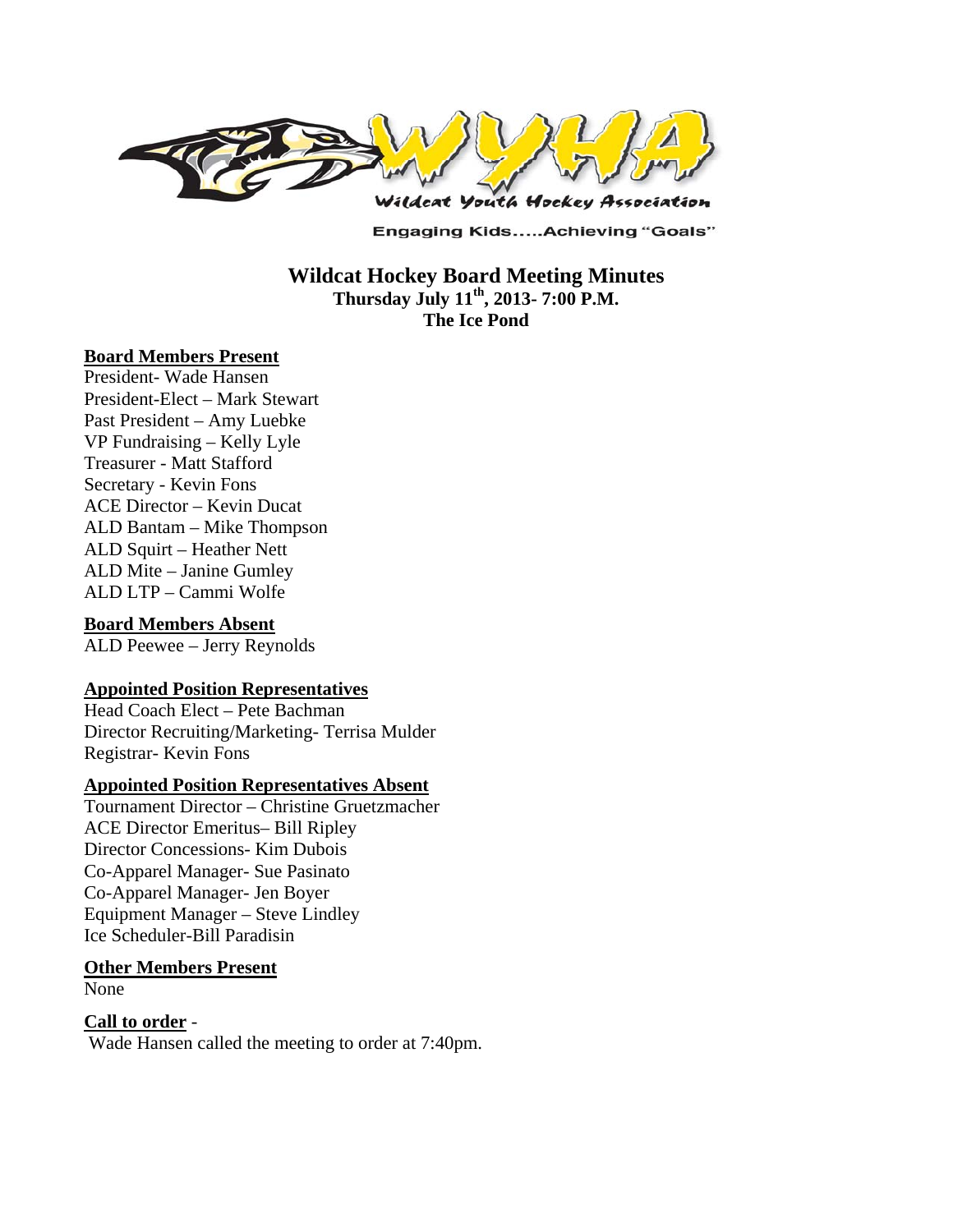

**Engaging Kids.....Achieving "Goals"** 

**Wildcat Hockey Board Meeting Minutes Thursday July 11th, 2013- 7:00 P.M. The Ice Pond** 

### **Board Members Present**

President- Wade Hansen President-Elect – Mark Stewart Past President – Amy Luebke VP Fundraising – Kelly Lyle Treasurer - Matt Stafford Secretary - Kevin Fons ACE Director – Kevin Ducat ALD Bantam – Mike Thompson ALD Squirt – Heather Nett ALD Mite – Janine Gumley ALD LTP – Cammi Wolfe

### **Board Members Absent**

ALD Peewee – Jerry Reynolds

### **Appointed Position Representatives**

Head Coach Elect – Pete Bachman Director Recruiting/Marketing- Terrisa Mulder Registrar- Kevin Fons

#### **Appointed Position Representatives Absent**

Tournament Director – Christine Gruetzmacher ACE Director Emeritus– Bill Ripley Director Concessions- Kim Dubois Co-Apparel Manager- Sue Pasinato Co-Apparel Manager- Jen Boyer Equipment Manager – Steve Lindley Ice Scheduler-Bill Paradisin

#### **Other Members Present**

None

## **Call to order** -

Wade Hansen called the meeting to order at 7:40pm.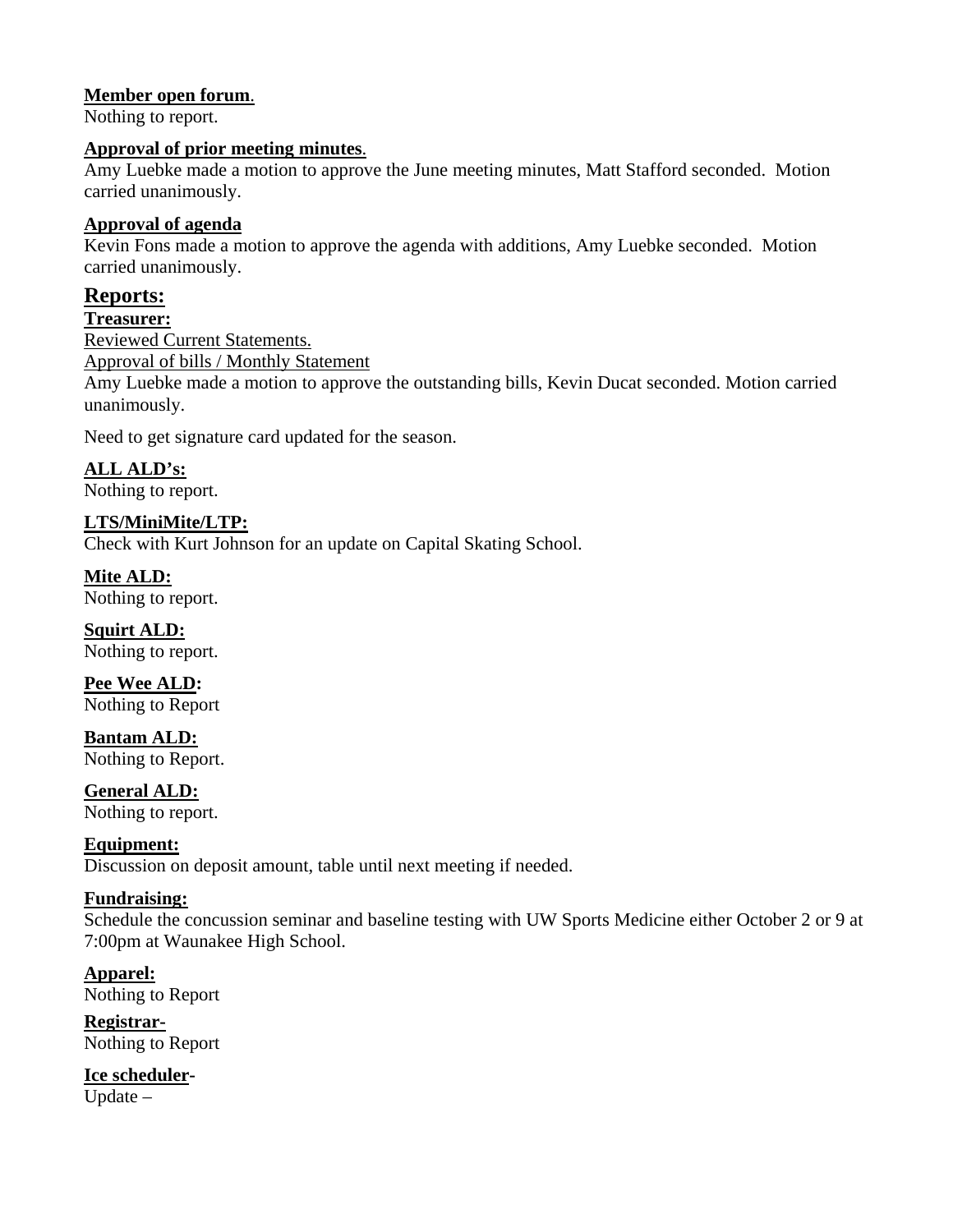## **Member open forum**.

Nothing to report.

### **Approval of prior meeting minutes**.

Amy Luebke made a motion to approve the June meeting minutes, Matt Stafford seconded. Motion carried unanimously.

## **Approval of agenda**

Kevin Fons made a motion to approve the agenda with additions, Amy Luebke seconded. Motion carried unanimously.

# **Reports:**

#### **Treasurer:**

Reviewed Current Statements. Approval of bills / Monthly Statement Amy Luebke made a motion to approve the outstanding bills, Kevin Ducat seconded. Motion carried unanimously.

Need to get signature card updated for the season.

**ALL ALD's:**  Nothing to report.

**LTS/MiniMite/LTP:**  Check with Kurt Johnson for an update on Capital Skating School.

**Mite ALD:**  Nothing to report.

**Squirt ALD:**  Nothing to report.

**Pee Wee ALD:**  Nothing to Report

**Bantam ALD:**  Nothing to Report.

**General ALD:**  Nothing to report.

**Equipment:** 

Discussion on deposit amount, table until next meeting if needed.

## **Fundraising:**

Schedule the concussion seminar and baseline testing with UW Sports Medicine either October 2 or 9 at 7:00pm at Waunakee High School.

**Apparel:**  Nothing to Report

**Registrar-**Nothing to Report

**Ice scheduler-**Update –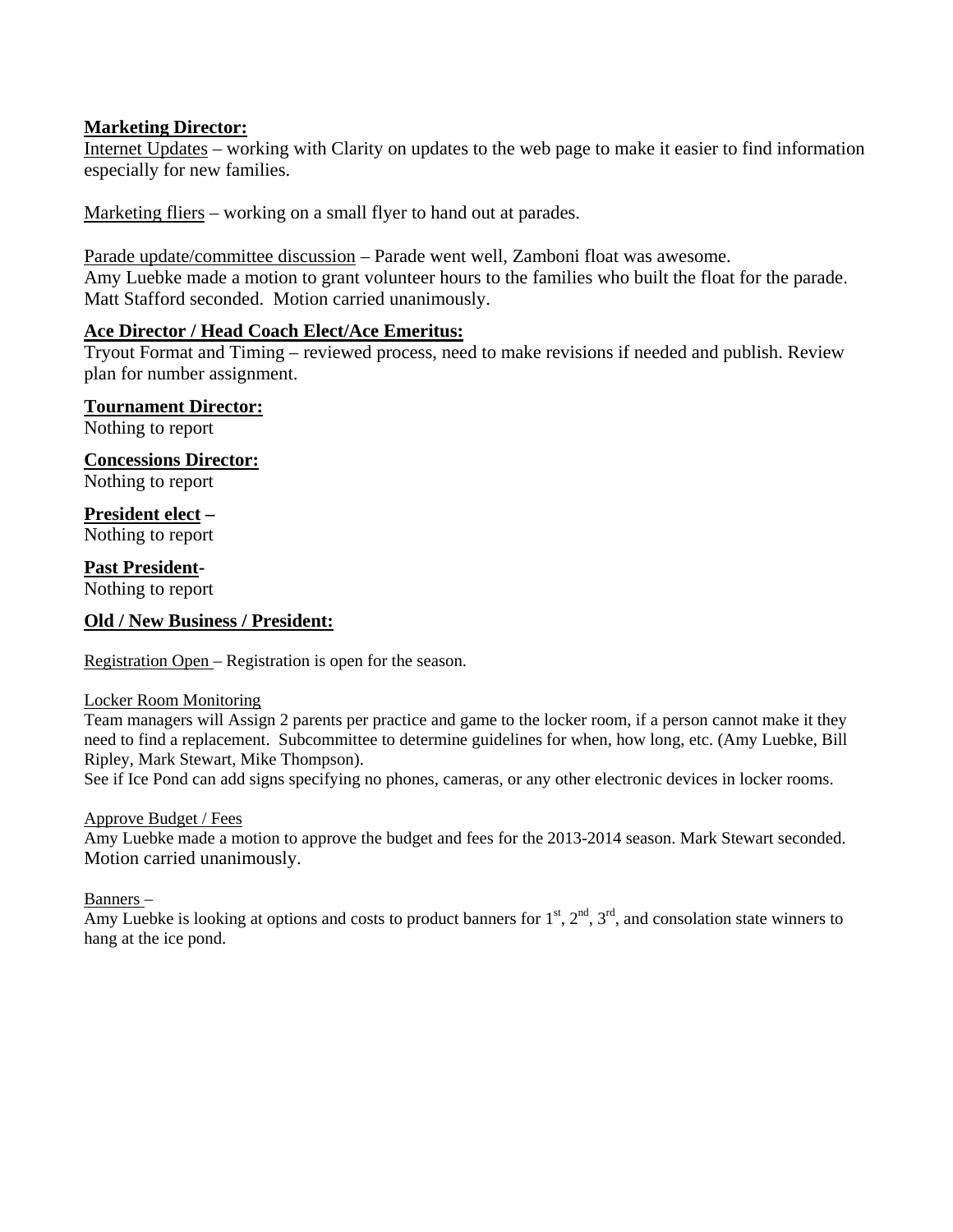### **Marketing Director:**

Internet Updates – working with Clarity on updates to the web page to make it easier to find information especially for new families.

Marketing fliers – working on a small flyer to hand out at parades.

Parade update/committee discussion – Parade went well, Zamboni float was awesome. Amy Luebke made a motion to grant volunteer hours to the families who built the float for the parade. Matt Stafford seconded. Motion carried unanimously.

### **Ace Director / Head Coach Elect/Ace Emeritus:**

Tryout Format and Timing – reviewed process, need to make revisions if needed and publish. Review plan for number assignment.

**Tournament Director:**

Nothing to report

**Concessions Director:**

Nothing to report

### **President elect –**

Nothing to report

### **Past President-**

Nothing to report

### **Old / New Business / President:**

Registration Open – Registration is open for the season.

#### Locker Room Monitoring

Team managers will Assign 2 parents per practice and game to the locker room, if a person cannot make it they need to find a replacement. Subcommittee to determine guidelines for when, how long, etc. (Amy Luebke, Bill Ripley, Mark Stewart, Mike Thompson).

See if Ice Pond can add signs specifying no phones, cameras, or any other electronic devices in locker rooms.

#### Approve Budget / Fees

Amy Luebke made a motion to approve the budget and fees for the 2013-2014 season. Mark Stewart seconded. Motion carried unanimously.

Banners –

Amy Luebke is looking at options and costs to product banners for  $1<sup>st</sup>$ ,  $2<sup>nd</sup>$ ,  $3<sup>rd</sup>$ , and consolation state winners to hang at the ice pond.